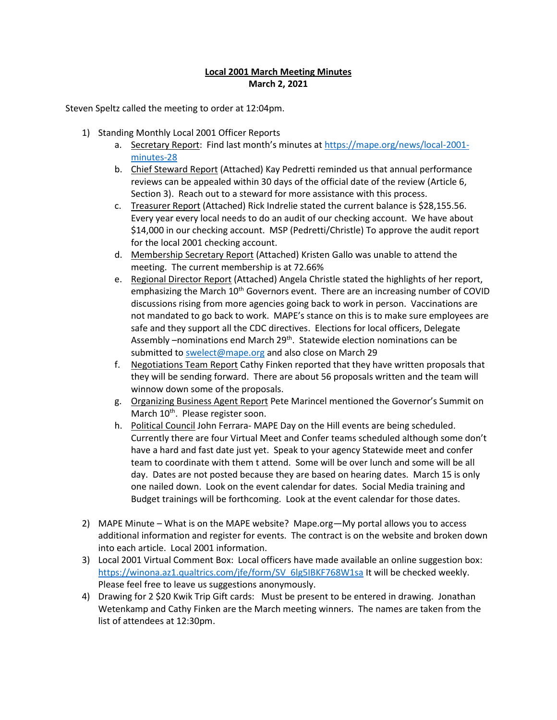#### **Local 2001 March Meeting Minutes March 2, 2021**

Steven Speltz called the meeting to order at 12:04pm.

- 1) Standing Monthly Local 2001 Officer Reports
	- a. Secretary Report: Find last month's minutes at [https://mape.org/news/local-2001](https://mape.org/news/local-2001-minutes-28) [minutes-28](https://mape.org/news/local-2001-minutes-28)
	- b. Chief Steward Report (Attached) Kay Pedretti reminded us that annual performance reviews can be appealed within 30 days of the official date of the review (Article 6, Section 3). Reach out to a steward for more assistance with this process.
	- c. Treasurer Report (Attached) Rick Indrelie stated the current balance is \$28,155.56. Every year every local needs to do an audit of our checking account. We have about \$14,000 in our checking account. MSP (Pedretti/Christle) To approve the audit report for the local 2001 checking account.
	- d. Membership Secretary Report (Attached) Kristen Gallo was unable to attend the meeting. The current membership is at 72.66%
	- e. Regional Director Report (Attached) Angela Christle stated the highlights of her report, emphasizing the March 10<sup>th</sup> Governors event. There are an increasing number of COVID discussions rising from more agencies going back to work in person. Vaccinations are not mandated to go back to work. MAPE's stance on this is to make sure employees are safe and they support all the CDC directives. Elections for local officers, Delegate Assembly –nominations end March 29<sup>th</sup>. Statewide election nominations can be submitted to [swelect@mape.org](mailto:swelect@mape.org) and also close on March 29
	- f. Negotiations Team Report Cathy Finken reported that they have written proposals that they will be sending forward. There are about 56 proposals written and the team will winnow down some of the proposals.
	- g. Organizing Business Agent Report Pete Marincel mentioned the Governor's Summit on March 10<sup>th</sup>. Please register soon.
	- h. Political Council John Ferrara- MAPE Day on the Hill events are being scheduled. Currently there are four Virtual Meet and Confer teams scheduled although some don't have a hard and fast date just yet. Speak to your agency Statewide meet and confer team to coordinate with them t attend. Some will be over lunch and some will be all day. Dates are not posted because they are based on hearing dates. March 15 is only one nailed down. Look on the event calendar for dates. Social Media training and Budget trainings will be forthcoming. Look at the event calendar for those dates.
- 2) MAPE Minute What is on the MAPE website? Mape.org—My portal allows you to access additional information and register for events. The contract is on the website and broken down into each article. Local 2001 information.
- 3) Local 2001 Virtual Comment Box: Local officers have made available an online suggestion box: [https://winona.az1.qualtrics.com/jfe/form/SV\\_6lg5IBKF768W1sa](https://nam02.safelinks.protection.outlook.com/?url=https%3A%2F%2Fwinona.az1.qualtrics.com%2Fjfe%2Fform%2FSV_6lg5IBKF768W1sa&data=04%7C01%7Ckpedretti%40winona.edu%7Cb2c6a276c2834b44995c08d8dd9372aa%7C5011c7c60ab446ab9ef4fae74a921a7f%7C0%7C0%7C637502972633297412%7CUnknown%7CTWFpbGZsb3d8eyJWIjoiMC4wLjAwMDAiLCJQIjoiV2luMzIiLCJBTiI6Ik1haWwiLCJXVCI6Mn0%3D%7C1000&sdata=zwLwIWvFQzsZPb3kXkVXEF9hS%2BaQ6FDYsbKGkXt9kLc%3D&reserved=0) It will be checked weekly. Please feel free to leave us suggestions anonymously.
- 4) Drawing for 2 \$20 Kwik Trip Gift cards: Must be present to be entered in drawing. Jonathan Wetenkamp and Cathy Finken are the March meeting winners. The names are taken from the list of attendees at 12:30pm.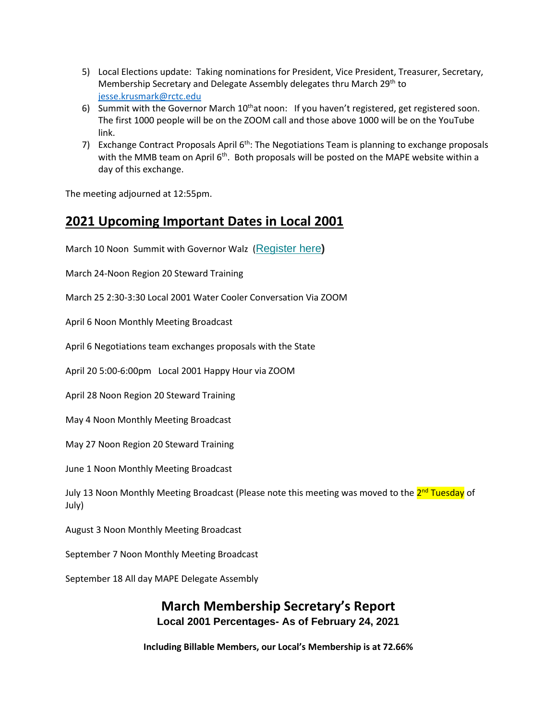- 5) Local Elections update: Taking nominations for President, Vice President, Treasurer, Secretary, Membership Secretary and Delegate Assembly delegates thru March 29<sup>th</sup> to [jesse.krusmark@rctc.edu](mailto:jesse.krusmark@rctc.edu)
- 6) Summit with the Governor March  $10<sup>th</sup>$ at noon: If you haven't registered, get registered soon. The first 1000 people will be on the ZOOM call and those above 1000 will be on the YouTube link.
- 7) Exchange Contract Proposals April  $6<sup>th</sup>$ : The Negotiations Team is planning to exchange proposals with the MMB team on April  $6<sup>th</sup>$ . Both proposals will be posted on the MAPE website within a day of this exchange.

The meeting adjourned at 12:55pm.

## **2021 Upcoming Important Dates in Local 2001**

March 10 Noon Summit with Governor Walz ([Register](https://nam02.safelinks.protection.outlook.com/?url=https%3A%2F%2Fmape.us20.list-manage.com%2Ftrack%2Fclick%3Fu%3Dbe8f7b5c26877c8f1d2e3c496%26id%3Da8d8fb1387%26e%3D28c9c3c1a0&data=04%7C01%7Ckpedretti%40winona.edu%7Cbaebc462592f45f2dfd108d8d9c0c76b%7C5011c7c60ab446ab9ef4fae74a921a7f%7C0%7C0%7C637498769336851929%7CUnknown%7CTWFpbGZsb3d8eyJWIjoiMC4wLjAwMDAiLCJQIjoiV2luMzIiLCJBTiI6Ik1haWwiLCJXVCI6Mn0%3D%7C1000&sdata=f9jqsaD5i6QCDoGgChAJMUx%2B8Zh57szt9DGfpi%2FAhlM%3D&reserved=0) here**)**

March 24-Noon Region 20 Steward Training

March 25 2:30-3:30 Local 2001 Water Cooler Conversation Via ZOOM

April 6 Noon Monthly Meeting Broadcast

April 6 Negotiations team exchanges proposals with the State

April 20 5:00-6:00pm Local 2001 Happy Hour via ZOOM

April 28 Noon Region 20 Steward Training

May 4 Noon Monthly Meeting Broadcast

May 27 Noon Region 20 Steward Training

June 1 Noon Monthly Meeting Broadcast

July 13 Noon Monthly Meeting Broadcast (Please note this meeting was moved to the <mark>2<sup>nd</sup> Tuesday</mark> of July)

August 3 Noon Monthly Meeting Broadcast

September 7 Noon Monthly Meeting Broadcast

September 18 All day MAPE Delegate Assembly

#### **March Membership Secretary's Report Local 2001 Percentages- As of February 24, 2021**

**Including Billable Members, our Local's Membership is at 72.66%**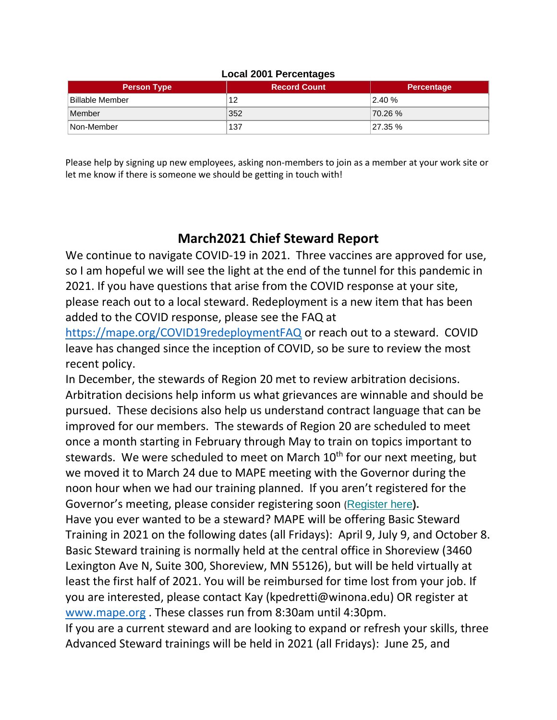| <b>Local 2001 Percentages</b> |                     |            |
|-------------------------------|---------------------|------------|
| <b>Person Type</b>            | <b>Record Count</b> | Percentage |
| ⊦Billable Member              | 12                  | 2.40%      |
| Member                        | 352                 | 70.26 %    |
| Non-Member                    | 137                 | 27.35%     |

Please help by signing up new employees, asking non-members to join as a member at your work site or let me know if there is someone we should be getting in touch with!

### **March2021 Chief Steward Report**

We continue to navigate COVID-19 in 2021. Three vaccines are approved for use, so I am hopeful we will see the light at the end of the tunnel for this pandemic in 2021. If you have questions that arise from the COVID response at your site, please reach out to a local steward. Redeployment is a new item that has been added to the COVID response, please see the FAQ at

<https://mape.org/COVID19redeploymentFAQ> or reach out to a steward. COVID leave has changed since the inception of COVID, so be sure to review the most recent policy.

In December, the stewards of Region 20 met to review arbitration decisions. Arbitration decisions help inform us what grievances are winnable and should be pursued. These decisions also help us understand contract language that can be improved for our members. The stewards of Region 20 are scheduled to meet once a month starting in February through May to train on topics important to stewards. We were scheduled to meet on March 10<sup>th</sup> for our next meeting, but we moved it to March 24 due to MAPE meeting with the Governor during the noon hour when we had our training planned. If you aren't registered for the Governor's meeting, please consider registering soon ([Register](https://nam02.safelinks.protection.outlook.com/?url=https%3A%2F%2Fmape.us20.list-manage.com%2Ftrack%2Fclick%3Fu%3Dbe8f7b5c26877c8f1d2e3c496%26id%3Da8d8fb1387%26e%3D28c9c3c1a0&data=04%7C01%7Ckpedretti%40winona.edu%7Cbaebc462592f45f2dfd108d8d9c0c76b%7C5011c7c60ab446ab9ef4fae74a921a7f%7C0%7C0%7C637498769336851929%7CUnknown%7CTWFpbGZsb3d8eyJWIjoiMC4wLjAwMDAiLCJQIjoiV2luMzIiLCJBTiI6Ik1haWwiLCJXVCI6Mn0%3D%7C1000&sdata=f9jqsaD5i6QCDoGgChAJMUx%2B8Zh57szt9DGfpi%2FAhlM%3D&reserved=0) here**).**

Have you ever wanted to be a steward? MAPE will be offering Basic Steward Training in 2021 on the following dates (all Fridays): April 9, July 9, and October 8. Basic Steward training is normally held at the central office in Shoreview (3460 Lexington Ave N, Suite 300, Shoreview, MN 55126), but will be held virtually at least the first half of 2021. You will be reimbursed for time lost from your job. If you are interested, please contact Kay (kpedretti@winona.edu) OR register at [www.mape.org](http://www.mape.org/) . These classes run from 8:30am until 4:30pm.

If you are a current steward and are looking to expand or refresh your skills, three Advanced Steward trainings will be held in 2021 (all Fridays): June 25, and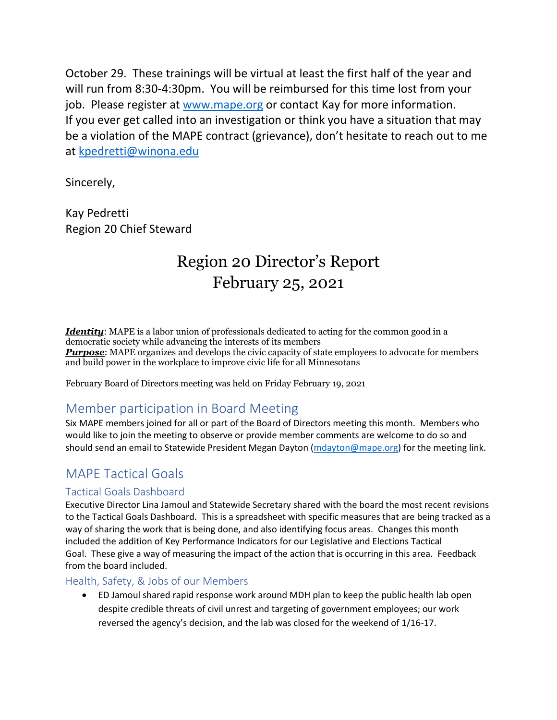October 29. These trainings will be virtual at least the first half of the year and will run from 8:30-4:30pm. You will be reimbursed for this time lost from your job. Please register at [www.mape.org](http://www.mape.org/) or contact Kay for more information. If you ever get called into an investigation or think you have a situation that may be a violation of the MAPE contract (grievance), don't hesitate to reach out to me at [kpedretti@winona.edu](mailto:kpedretti@winona.edu)

Sincerely,

Kay Pedretti Region 20 Chief Steward

# Region 20 Director's Report February 25, 2021

*Identity*: MAPE is a labor union of professionals dedicated to acting for the common good in a democratic society while advancing the interests of its members *Purpose*: MAPE organizes and develops the civic capacity of state employees to advocate for members and build power in the workplace to improve civic life for all Minnesotans

February Board of Directors meeting was held on Friday February 19, 2021

## Member participation in Board Meeting

Six MAPE members joined for all or part of the Board of Directors meeting this month. Members who would like to join the meeting to observe or provide member comments are welcome to do so and should send an email to Statewide President Megan Dayton [\(mdayton@mape.org\)](mailto:mdayton@mape.org) for the meeting link.

# MAPE Tactical Goals

#### Tactical Goals Dashboard

Executive Director Lina Jamoul and Statewide Secretary shared with the board the most recent revisions to the Tactical Goals Dashboard. This is a spreadsheet with specific measures that are being tracked as a way of sharing the work that is being done, and also identifying focus areas. Changes this month included the addition of Key Performance Indicators for our Legislative and Elections Tactical Goal. These give a way of measuring the impact of the action that is occurring in this area. Feedback from the board included.

#### Health, Safety, & Jobs of our Members

• ED Jamoul shared rapid response work around MDH plan to keep the public health lab open despite credible threats of civil unrest and targeting of government employees; our work reversed the agency's decision, and the lab was closed for the weekend of 1/16-17.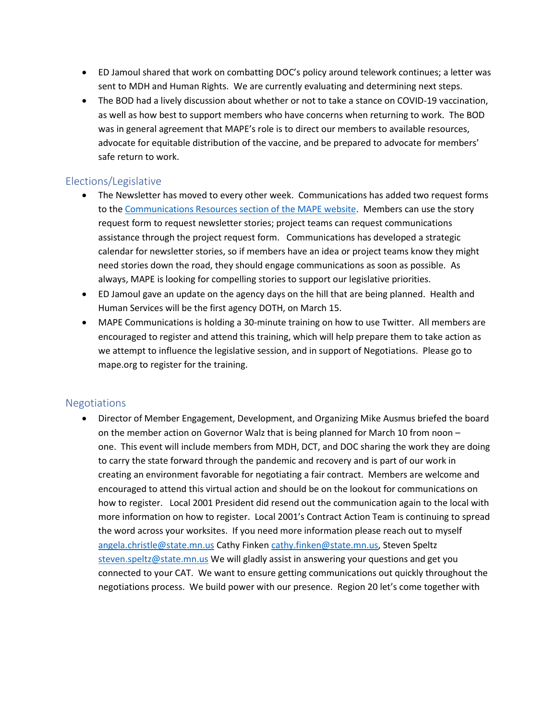- ED Jamoul shared that work on combatting DOC's policy around telework continues; a letter was sent to MDH and Human Rights. We are currently evaluating and determining next steps.
- The BOD had a lively discussion about whether or not to take a stance on COVID-19 vaccination, as well as how best to support members who have concerns when returning to work. The BOD was in general agreement that MAPE's role is to direct our members to available resources, advocate for equitable distribution of the vaccine, and be prepared to advocate for members' safe return to work.

#### Elections/Legislative

- The Newsletter has moved to every other week. Communications has added two request forms to th[e Communications Resources section of the MAPE website.](https://nam02.safelinks.protection.outlook.com/?url=https%3A%2F%2Fmape.org%2Fcommunications-resources&data=04%7C01%7Ckpedretti%40winona.edu%7Ced33018d590c4cdf18b208d8dda325b5%7C5011c7c60ab446ab9ef4fae74a921a7f%7C0%7C0%7C637503040076501100%7CUnknown%7CTWFpbGZsb3d8eyJWIjoiMC4wLjAwMDAiLCJQIjoiV2luMzIiLCJBTiI6Ik1haWwiLCJXVCI6Mn0%3D%7C1000&sdata=9F8shcwD2%2FpziLlVKqRCYf6%2FL3vrKCVydXPKdFuKqmg%3D&reserved=0) Members can use the story request form to request newsletter stories; project teams can request communications assistance through the project request form. Communications has developed a strategic calendar for newsletter stories, so if members have an idea or project teams know they might need stories down the road, they should engage communications as soon as possible. As always, MAPE is looking for compelling stories to support our legislative priorities.
- ED Jamoul gave an update on the agency days on the hill that are being planned. Health and Human Services will be the first agency DOTH, on March 15.
- MAPE Communications is holding a 30-minute training on how to use Twitter. All members are encouraged to register and attend this training, which will help prepare them to take action as we attempt to influence the legislative session, and in support of Negotiations. Please go to mape.org to register for the training.

#### Negotiations

• Director of Member Engagement, Development, and Organizing Mike Ausmus briefed the board on the member action on Governor Walz that is being planned for March 10 from noon – one. This event will include members from MDH, DCT, and DOC sharing the work they are doing to carry the state forward through the pandemic and recovery and is part of our work in creating an environment favorable for negotiating a fair contract. Members are welcome and encouraged to attend this virtual action and should be on the lookout for communications on how to register. Local 2001 President did resend out the communication again to the local with more information on how to register. Local 2001's Contract Action Team is continuing to spread the word across your worksites. If you need more information please reach out to myself [angela.christle@state.mn.us](mailto:angela.christle@state.mn.us) Cathy Finken [cathy.finken@state.mn.us,](mailto:cathy.finken@state.mn.us) Steven Speltz [steven.speltz@state.mn.us](mailto:steven.speltz@state.mn.us) We will gladly assist in answering your questions and get you connected to your CAT. We want to ensure getting communications out quickly throughout the negotiations process. We build power with our presence. Region 20 let's come together with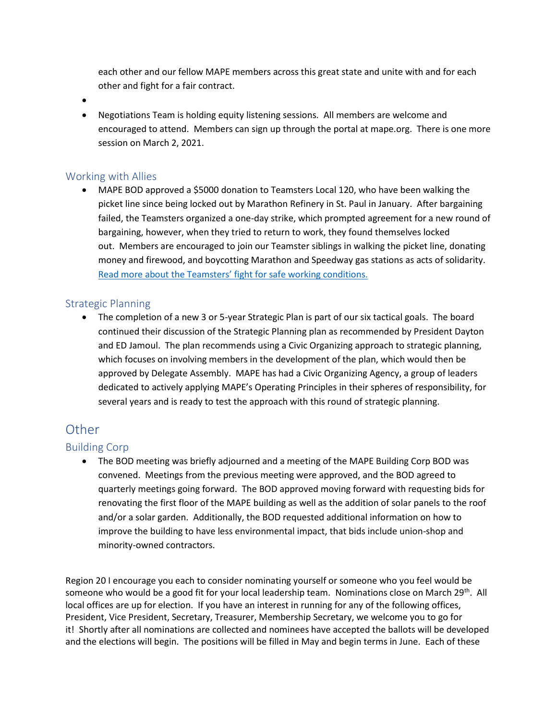each other and our fellow MAPE members across this great state and unite with and for each other and fight for a fair contract.

•

• Negotiations Team is holding equity listening sessions. All members are welcome and encouraged to attend. Members can sign up through the portal at mape.org. There is one more session on March 2, 2021.

#### Working with Allies

• MAPE BOD approved a \$5000 donation to Teamsters Local 120, who have been walking the picket line since being locked out by Marathon Refinery in St. Paul in January. After bargaining failed, the Teamsters organized a one-day strike, which prompted agreement for a new round of bargaining, however, when they tried to return to work, they found themselves locked out. Members are encouraged to join our Teamster siblings in walking the picket line, donating money and firewood, and boycotting Marathon and Speedway gas stations as acts of solidarity. [Read more about the Teamsters' fight for safe working conditions.](https://nam02.safelinks.protection.outlook.com/?url=http:%2F%2Fwww.fightbacknews.org%2F2021%2F2%2F2%2Fminnesota-marathon-refinery-locks-out-teamsters%23:~:text%3DPaul%2520Park%2C%2520MN%2520-%2520Teamsters%2520Local%2520120%2520members%2Creached%2520and%2520there%2520are%2520no%2520more%2520dates&data=04%7C01%7Ckpedretti%40winona.edu%7Ced33018d590c4cdf18b208d8dda325b5%7C5011c7c60ab446ab9ef4fae74a921a7f%7C0%7C0%7C637503040076511097%7CUnknown%7CTWFpbGZsb3d8eyJWIjoiMC4wLjAwMDAiLCJQIjoiV2luMzIiLCJBTiI6Ik1haWwiLCJXVCI6Mn0%3D%7C1000&sdata=%2BLRWGqkLj%2Bg6N1Sww4ge%2Fnx5wBp88DKQQ5fgVDzSQRk%3D&reserved=0)

#### Strategic Planning

• The completion of a new 3 or 5-year Strategic Plan is part of our six tactical goals. The board continued their discussion of the Strategic Planning plan as recommended by President Dayton and ED Jamoul. The plan recommends using a Civic Organizing approach to strategic planning, which focuses on involving members in the development of the plan, which would then be approved by Delegate Assembly. MAPE has had a Civic Organizing Agency, a group of leaders dedicated to actively applying MAPE's Operating Principles in their spheres of responsibility, for several years and is ready to test the approach with this round of strategic planning.

### **Other**

#### Building Corp

• The BOD meeting was briefly adjourned and a meeting of the MAPE Building Corp BOD was convened. Meetings from the previous meeting were approved, and the BOD agreed to quarterly meetings going forward. The BOD approved moving forward with requesting bids for renovating the first floor of the MAPE building as well as the addition of solar panels to the roof and/or a solar garden. Additionally, the BOD requested additional information on how to improve the building to have less environmental impact, that bids include union-shop and minority-owned contractors.

Region 20 I encourage you each to consider nominating yourself or someone who you feel would be someone who would be a good fit for your local leadership team. Nominations close on March 29<sup>th</sup>. All local offices are up for election. If you have an interest in running for any of the following offices, President, Vice President, Secretary, Treasurer, Membership Secretary, we welcome you to go for it! Shortly after all nominations are collected and nominees have accepted the ballots will be developed and the elections will begin. The positions will be filled in May and begin terms in June. Each of these